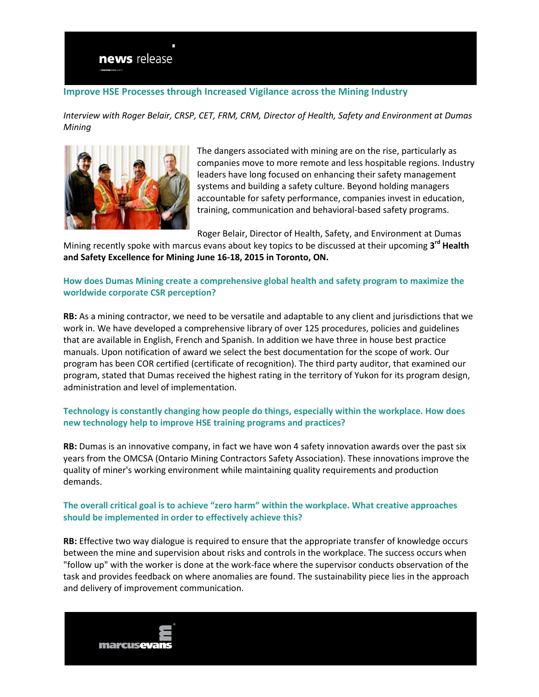

### **Improve HSE Processes through Increased Vigilance across the Mining Industry**

*Interview with Roger Belair, CRSP, CET, FRM, CRM, Director of Health, Safety and Environment at Dumas Mining*



The dangers associated with mining are on the rise, particularly as companies move to more remote and less hospitable regions. Industry leaders have long focused on enhancing their safety management systems and building a safety culture. Beyond holding managers accountable for safety performance, companies invest in education, training, communication and behavioral-based safety programs.

Roger Belair, Director of Health, Safety, and Environment at Dumas

Mining recently spoke with marcus evans about key topics to be discussed at their upcoming **3 rd Health and Safety Excellence for Mining June 16-18, 2015 in Toronto, ON.**

# **How does Dumas Mining create a comprehensive global health and safety program to maximize the worldwide corporate CSR perception?**

**RB:** As a mining contractor, we need to be versatile and adaptable to any client and jurisdictions that we work in. We have developed a comprehensive library of over 125 procedures, policies and guidelines that are available in English, French and Spanish. In addition we have three in house best practice manuals. Upon notification of award we select the best documentation for the scope of work. Our program has been COR certified (certificate of recognition). The third party auditor, that examined our program, stated that Dumas received the highest rating in the territory of Yukon for its program design, administration and level of implementation.

# **Technology is constantly changing how people do things, especially within the workplace. How does new technology help to improve HSE training programs and practices?**

**RB:** Dumas is an innovative company, in fact we have won 4 safety innovation awards over the past six years from the OMCSA (Ontario Mining Contractors Safety Association). These innovations improve the quality of miner's working environment while maintaining quality requirements and production demands.

# **The overall critical goal is to achieve "zero harm" within the workplace. What creative approaches should be implemented in order to effectively achieve this?**

**RB:** Effective two way dialogue is required to ensure that the appropriate transfer of knowledge occurs between the mine and supervision about risks and controls in the workplace. The success occurs when "follow up" with the worker is done at the work-face where the supervisor conducts observation of the task and provides feedback on where anomalies are found. The sustainability piece lies in the approach and delivery of improvement communication.